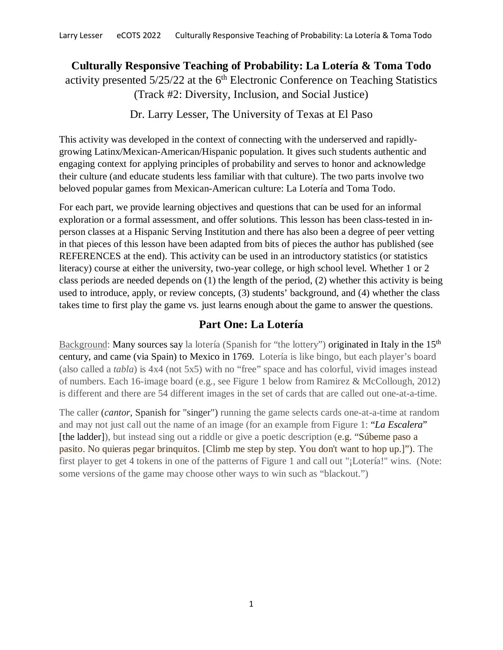**Culturally Responsive Teaching of Probability: La Lotería & Toma Todo** activity presented  $5/25/22$  at the  $6<sup>th</sup>$  Electronic Conference on Teaching Statistics (Track #2: Diversity, Inclusion, and Social Justice)

### Dr. Larry Lesser, The University of Texas at El Paso

This activity was developed in the context of connecting with the underserved and rapidlygrowing Latinx/Mexican-American/Hispanic population. It gives such students authentic and engaging context for applying principles of probability and serves to honor and acknowledge their culture (and educate students less familiar with that culture). The two parts involve two beloved popular games from Mexican-American culture: La Lotería and Toma Todo.

For each part, we provide learning objectives and questions that can be used for an informal exploration or a formal assessment, and offer solutions. This lesson has been class-tested in inperson classes at a Hispanic Serving Institution and there has also been a degree of peer vetting in that pieces of this lesson have been adapted from bits of pieces the author has published (see REFERENCES at the end). This activity can be used in an introductory statistics (or statistics literacy) course at either the university, two-year college, or high school level. Whether 1 or 2 class periods are needed depends on (1) the length of the period, (2) whether this activity is being used to introduce, apply, or review concepts, (3) students' background, and (4) whether the class takes time to first play the game vs. just learns enough about the game to answer the questions.

# **Part One: La Lotería**

Background: Many sources say la lotería (Spanish for "the lottery") originated in Italy in the 15<sup>th</sup> century, and came (via Spain) to Mexico in 1769. Lotería is like bingo, but each player's board (also called a *tabla*) is 4x4 (not 5x5) with no "free" space and has colorful, vivid images instead of numbers. Each 16-image board (e.g., see Figure 1 below from Ramirez & McCollough, 2012) is different and there are 54 different images in the set of cards that are called out one-at-a-time.

The caller (*cantor*, Spanish for "singer") running the game selects cards one-at-a-time at random and may not just call out the name of an image (for an example from Figure 1: "*La Escalera*" [the ladder]), but instead sing out a riddle or give a poetic description (e.g. "Súbeme paso a pasito. No quieras pegar brinquitos. [Climb me step by step. You don't want to hop up.]"). The first player to get 4 tokens in one of the patterns of Figure 1 and call out "¡Lotería!" wins. (Note: some versions of the game may choose other ways to win such as "blackout.")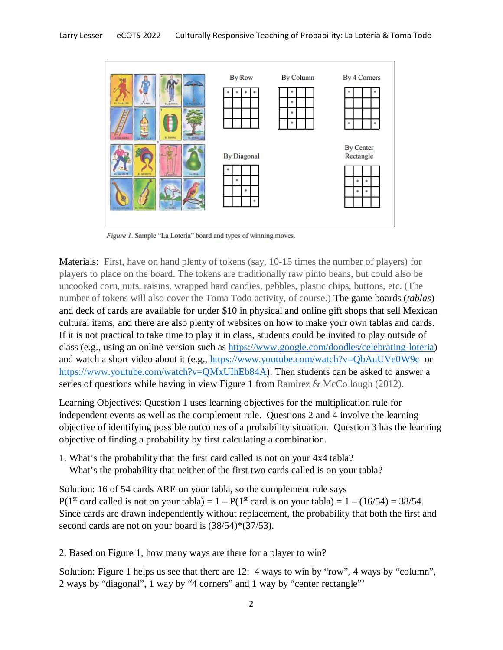

Figure 1. Sample "La Lotería" board and types of winning moves.

Materials: First, have on hand plenty of tokens (say, 10-15 times the number of players) for players to place on the board. The tokens are traditionally raw pinto beans, but could also be uncooked corn, nuts, raisins, wrapped hard candies, pebbles, plastic chips, buttons, etc. (The number of tokens will also cover the Toma Todo activity, of course.) The game boards (*tablas*) and deck of cards are available for under \$10 in physical and online gift shops that sell Mexican cultural items, and there are also plenty of websites on how to make your own tablas and cards. If it is not practical to take time to play it in class, students could be invited to play outside of class (e.g., using an online version such as [https://www.google.com/doodles/celebrating-loteria\)](https://www.google.com/doodles/celebrating-loteria) and watch a short video about it (e.g.,<https://www.youtube.com/watch?v=QbAuUVe0W9c>or [https://www.youtube.com/watch?v=QMxUIhEb84A\)](https://www.youtube.com/watch?v=QMxUIhEb84A). Then students can be asked to answer a series of questions while having in view Figure 1 from Ramirez & McCollough (2012).

Learning Objectives: Question 1 uses learning objectives for the multiplication rule for independent events as well as the complement rule. Questions 2 and 4 involve the learning objective of identifying possible outcomes of a probability situation. Question 3 has the learning objective of finding a probability by first calculating a combination.

1. What's the probability that the first card called is not on your 4x4 tabla? What's the probability that neither of the first two cards called is on your tabla?

Solution: 16 of 54 cards ARE on your tabla, so the complement rule says  $P(1^{st}$  card called is not on your tabla) =  $1 - P(1^{st}$  card is on your tabla) =  $1 - (16/54) = 38/54$ . Since cards are drawn independently without replacement, the probability that both the first and second cards are not on your board is (38/54)\*(37/53).

2. Based on Figure 1, how many ways are there for a player to win?

Solution: Figure 1 helps us see that there are 12: 4 ways to win by "row", 4 ways by "column", 2 ways by "diagonal", 1 way by "4 corners" and 1 way by "center rectangle"'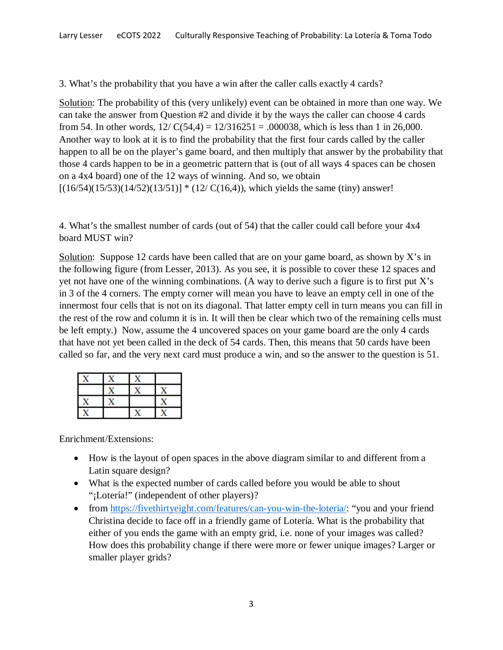3. What's the probability that you have a win after the caller calls exactly 4 cards?

Solution: The probability of this (very unlikely) event can be obtained in more than one way. We can take the answer from Question #2 and divide it by the ways the caller can choose 4 cards from 54. In other words,  $12/C(54.4) = 12/316251 = .000038$ , which is less than 1 in 26,000. Another way to look at it is to find the probability that the first four cards called by the caller happen to all be on the player's game board, and then multiply that answer by the probability that those 4 cards happen to be in a geometric pattern that is (out of all ways 4 spaces can be chosen on a 4x4 board) one of the 12 ways of winning. And so, we obtain  $[(16/54)(15/53)(14/52)(13/51)]$  \* (12/ C(16,4)), which yields the same (tiny) answer!

4. What's the smallest number of cards (out of 54) that the caller could call before your 4x4 board MUST win?

Solution: Suppose 12 cards have been called that are on your game board, as shown by X's in the following figure (from Lesser, 2013). As you see, it is possible to cover these 12 spaces and yet not have one of the winning combinations. (A way to derive such a figure is to first put  $X$ 's in 3 of the 4 corners. The empty corner will mean you have to leave an empty cell in one of the innermost four cells that is not on its diagonal. That latter empty cell in turn means you can fill in the rest of the row and column it is in. It will then be clear which two of the remaining cells must be left empty.) Now, assume the 4 uncovered spaces on your game board are the only 4 cards that have not yet been called in the deck of 54 cards. Then, this means that 50 cards have been called so far, and the very next card must produce a win, and so the answer to the question is 51.

Enrichment/Extensions:

- How is the layout of open spaces in the above diagram similar to and different from a Latin square design?
- What is the expected number of cards called before you would be able to shout "¡Lotería!" (independent of other players)?
- from [https://fivethirtyeight.com/features/can-you-win-the-loteria/:](https://fivethirtyeight.com/features/can-you-win-the-loteria/) "you and your friend Christina decide to face off in a friendly game of Lotería. What is the probability that either of you ends the game with an empty grid, i.e. none of your images was called? How does this probability change if there were more or fewer unique images? Larger or smaller player grids?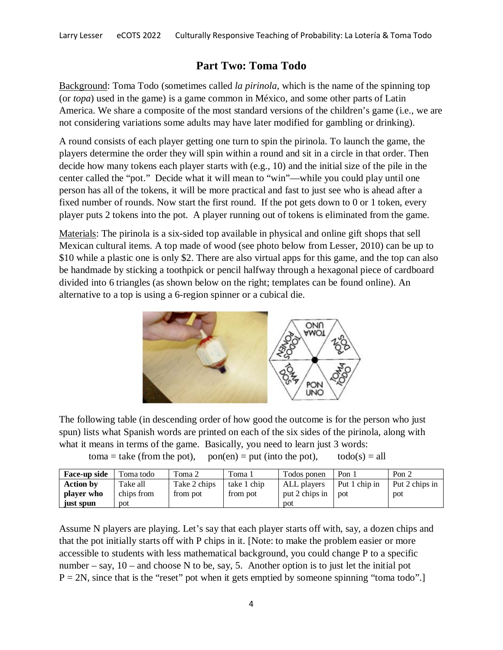## **Part Two: Toma Todo**

Background: Toma Todo (sometimes called *la pirinola*, which is the name of the spinning top (or *topa*) used in the game) is a game common in México, and some other parts of Latin America. We share a composite of the most standard versions of the children's game (i.e., we are not considering variations some adults may have later modified for gambling or drinking).

A round consists of each player getting one turn to spin the pirinola. To launch the game, the players determine the order they will spin within a round and sit in a circle in that order. Then decide how many tokens each player starts with (e.g., 10) and the initial size of the pile in the center called the "pot." Decide what it will mean to "win"—while you could play until one person has all of the tokens, it will be more practical and fast to just see who is ahead after a fixed number of rounds. Now start the first round. If the pot gets down to 0 or 1 token, every player puts 2 tokens into the pot. A player running out of tokens is eliminated from the game.

Materials: The pirinola is a six-sided top available in physical and online gift shops that sell Mexican cultural items. A top made of wood (see photo below from Lesser, 2010) can be up to \$10 while a plastic one is only \$2. There are also virtual apps for this game, and the top can also be handmade by sticking a toothpick or pencil halfway through a hexagonal piece of cardboard divided into 6 triangles (as shown below on the right; templates can be found online). An alternative to a top is using a 6-region spinner or a cubical die.



The following table (in descending order of how good the outcome is for the person who just spun) lists what Spanish words are printed on each of the six sides of the pirinola, along with what it means in terms of the game. Basically, you need to learn just 3 words:

 $toma = take (from the pot), \quad pon(en) = put (into the pot), \quad todo(s) = all$ 

| <b>Face-up side</b> | Toma todo  | Toma 2       | Toma 1      | Todos ponen    | Pon 1         | Pon 2          |
|---------------------|------------|--------------|-------------|----------------|---------------|----------------|
| <b>Action by</b>    | Take all   | Take 2 chips | take 1 chip | ALL players    | Put 1 chip in | Put 2 chips in |
| player who          | chips from | from pot     | from pot    | put 2 chips in | pot           | pot            |
| just spun           | pot        |              |             | pot            |               |                |

Assume N players are playing. Let's say that each player starts off with, say, a dozen chips and that the pot initially starts off with P chips in it. [Note: to make the problem easier or more accessible to students with less mathematical background, you could change P to a specific number – say, 10 – and choose N to be, say, 5. Another option is to just let the initial pot  $P = 2N$ , since that is the "reset" pot when it gets emptied by someone spinning "toma todo".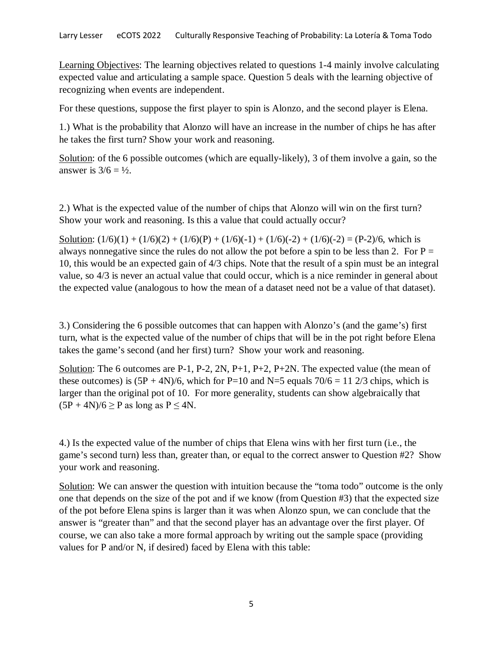Learning Objectives: The learning objectives related to questions 1-4 mainly involve calculating expected value and articulating a sample space. Question 5 deals with the learning objective of recognizing when events are independent.

For these questions, suppose the first player to spin is Alonzo, and the second player is Elena.

1.) What is the probability that Alonzo will have an increase in the number of chips he has after he takes the first turn? Show your work and reasoning.

Solution: of the 6 possible outcomes (which are equally-likely), 3 of them involve a gain, so the answer is  $3/6 = \frac{1}{2}$ .

2.) What is the expected value of the number of chips that Alonzo will win on the first turn? Show your work and reasoning. Is this a value that could actually occur?

Solution:  $(1/6)(1) + (1/6)(2) + (1/6)(P) + (1/6)(-1) + (1/6)(-2) + (1/6)(-2) = (P-2)/6$ , which is always nonnegative since the rules do not allow the pot before a spin to be less than 2. For  $P =$ 10, this would be an expected gain of 4/3 chips. Note that the result of a spin must be an integral value, so 4/3 is never an actual value that could occur, which is a nice reminder in general about the expected value (analogous to how the mean of a dataset need not be a value of that dataset).

3.) Considering the 6 possible outcomes that can happen with Alonzo's (and the game's) first turn, what is the expected value of the number of chips that will be in the pot right before Elena takes the game's second (and her first) turn? Show your work and reasoning.

Solution: The 6 outcomes are P-1, P-2, 2N, P+1, P+2, P+2N. The expected value (the mean of these outcomes) is  $(5P + 4N)/6$ , which for P=10 and N=5 equals  $70/6 = 112/3$  chips, which is larger than the original pot of 10. For more generality, students can show algebraically that  $(5P + 4N)/6 \ge P$  as long as  $P \le 4N$ .

4.) Is the expected value of the number of chips that Elena wins with her first turn (i.e., the game's second turn) less than, greater than, or equal to the correct answer to Question #2? Show your work and reasoning.

Solution: We can answer the question with intuition because the "toma todo" outcome is the only one that depends on the size of the pot and if we know (from Question #3) that the expected size of the pot before Elena spins is larger than it was when Alonzo spun, we can conclude that the answer is "greater than" and that the second player has an advantage over the first player. Of course, we can also take a more formal approach by writing out the sample space (providing values for P and/or N, if desired) faced by Elena with this table: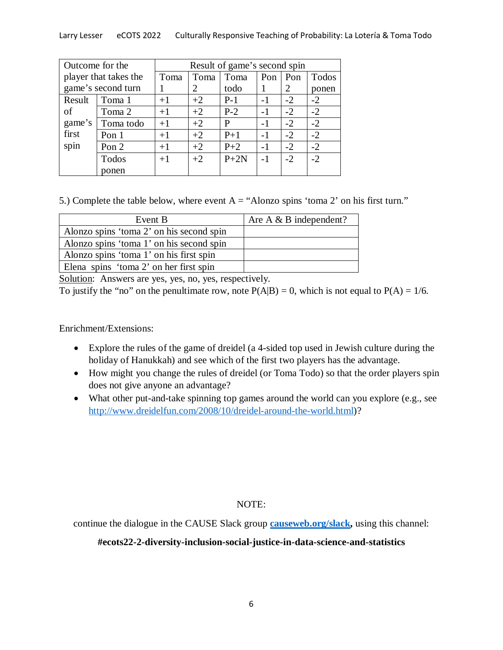#### Larry Lesser eCOTS 2022 Culturally Responsive Teaching of Probability: La Lotería & Toma Todo

| Outcome for the       |           |      |      | Result of game's second spin |      |      |       |
|-----------------------|-----------|------|------|------------------------------|------|------|-------|
| player that takes the |           | Toma | Toma | Toma                         | Pon  | Pon  | Todos |
| game's second turn    |           |      | 2    | todo                         |      | 2    | ponen |
| Result                | Toma 1    | $+1$ | $+2$ | $P-1$                        | $-1$ | $-2$ | $-2$  |
| of                    | Toma 2    | $+1$ | $+2$ | $P-2$                        | $-1$ | $-2$ | $-2$  |
| game's                | Toma todo | $+1$ | $+2$ | P                            | $-1$ | $-2$ | $-2$  |
| first                 | Pon 1     | $+1$ | $+2$ | $P+1$                        | $-1$ | $-2$ | $-2$  |
| spin                  | Pon 2     | $+1$ | $+2$ | $P+2$                        | $-1$ | $-2$ | $-2$  |
|                       | Todos     | $+1$ | $+2$ | $P+2N$                       | $-1$ | $-2$ | $-2$  |
|                       | ponen     |      |      |                              |      |      |       |

5.) Complete the table below, where event  $A = "Alonzo spins 'toma 2' on his first turn."$ 

| Event B                                  | Are $A \& B$ independent? |
|------------------------------------------|---------------------------|
| Alonzo spins 'toma 2' on his second spin |                           |
| Alonzo spins 'toma 1' on his second spin |                           |
| Alonzo spins 'toma 1' on his first spin  |                           |
| Elena spins 'toma 2' on her first spin   |                           |

Solution: Answers are yes, yes, no, yes, respectively.

To justify the "no" on the penultimate row, note  $P(A|B) = 0$ , which is not equal to  $P(A) = 1/6$ .

Enrichment/Extensions:

- Explore the rules of the game of dreidel (a 4-sided top used in Jewish culture during the holiday of Hanukkah) and see which of the first two players has the advantage.
- How might you change the rules of dreidel (or Toma Todo) so that the order players spin does not give anyone an advantage?
- What other put-and-take spinning top games around the world can you explore (e.g., see [http://www.dreidelfun.com/2008/10/dreidel-around-the-world.html\)](http://www.dreidelfun.com/2008/10/dreidel-around-the-world.html)?

NOTE:

continue the dialogue in the CAUSE Slack group **[causeweb.org/slack,](https://causeweb.org/slack)** using this channel:

### **#ecots22-2-diversity-inclusion-social-justice-in-data-science-and-statistics**